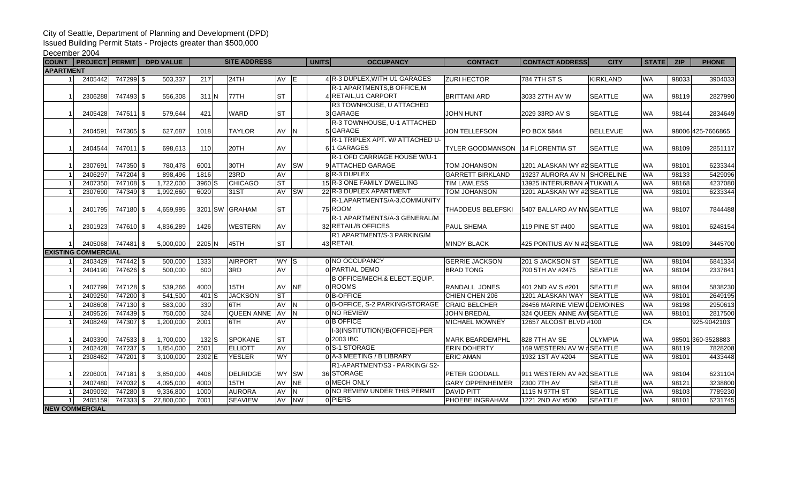## City of Seattle, Department of Planning and Development (DPD)

Issued Building Permit Stats - Projects greater than \$500,000

## December 2004

|                                    | COUNT   PROJECT   PERMIT |                        | <b>DPD VALUE</b>       |              | <b>SITE ADDRESS</b>      |                   |           | <b>OCCUPANCY</b><br><b>UNITS</b>                   | <b>CONTACT</b>                             | <b>CONTACT ADDRESS</b>                                    | <b>CITY</b>                      | <b>STATE</b>           | <b>ZIP</b>     | <b>PHONE</b>       |
|------------------------------------|--------------------------|------------------------|------------------------|--------------|--------------------------|-------------------|-----------|----------------------------------------------------|--------------------------------------------|-----------------------------------------------------------|----------------------------------|------------------------|----------------|--------------------|
| <b>APARTMENT</b>                   |                          |                        |                        |              |                          |                   |           |                                                    |                                            |                                                           |                                  |                        |                |                    |
|                                    | 2405442                  | 747299 \$              | 503,337                | 217          | 24TH                     | AV E              |           | 4 R-3 DUPLEX, WITH U1 GARAGES                      | <b>ZURI HECTOR</b>                         | 784 7TH ST S                                              | <b>KIRKLAND</b>                  | <b>WA</b>              | 98033          | 3904033            |
|                                    |                          |                        |                        |              |                          |                   |           | R-1 APARTMENTS, B OFFICE, M                        |                                            |                                                           |                                  |                        |                |                    |
|                                    | 2306288                  | 747493 \$              | 556,308                | $311$ N      | <b>77TH</b>              | <b>ST</b>         |           | 4 RETAIL, U1 CARPORT                               | <b>BRITTANI ARD</b>                        | 3033 27TH AV W                                            | <b>SEATTLE</b>                   | <b>WA</b>              | 98119          | 2827990            |
|                                    |                          |                        |                        |              |                          |                   |           | R3 TOWNHOUSE, U ATTACHED                           |                                            |                                                           |                                  |                        |                |                    |
|                                    | 2405428                  | 747511 \$              | 579.644                | 421          | <b>WARD</b>              | <b>ST</b>         |           | 3 GARAGE                                           | <b>JOHN HUNT</b>                           | 2029 33RD AV S                                            | <b>SEATTLE</b>                   | <b>WA</b>              | 98144          | 2834649            |
|                                    |                          |                        |                        |              |                          |                   |           | R-3 TOWNHOUSE, U-1 ATTACHED                        |                                            |                                                           |                                  |                        |                |                    |
|                                    | 2404591                  | 747305 \$              | 627,687                | 1018         | <b>TAYLOR</b>            | AV N              |           | 5 GARAGE                                           | <b>JON TELLEFSON</b>                       | <b>PO BOX 5844</b>                                        | BELLEVUE                         | <b>WA</b>              |                | 98006 425-7666865  |
|                                    |                          |                        |                        |              |                          |                   |           | R-1 TRIPLEX APT. W/ ATTACHED U-                    |                                            |                                                           |                                  |                        |                |                    |
|                                    | 2404544                  | 747011 \$              | 698,613                | 110          | 20TH                     | AV                |           | 61 GARAGES                                         | <b>TYLER GOODMANSON 14 FLORENTIA ST</b>    |                                                           | <b>SEATTLE</b>                   | <b>WA</b>              | 98109          | 2851117            |
|                                    |                          |                        |                        |              |                          |                   |           | R-1 OFD CARRIAGE HOUSE W/U-1                       |                                            |                                                           |                                  |                        |                |                    |
|                                    | 2307691                  | 747350 \$              | 780,478                | 6001         | 30TH                     | AV                | <b>SW</b> | 9 ATTACHED GARAGE                                  | <b>TOM JOHANSON</b>                        | 1201 ALASKAN WY #2 SEATTLE                                |                                  | <b>WA</b>              | 98101          | 6233344            |
|                                    | 2406297                  | 747204 \$              | 898,496                | 1816         | 23RD                     | AV                |           | 8 R-3 DUPLEX                                       | <b>GARRETT BIRKLAND</b>                    | 19237 AURORA AV N SHORELINE                               |                                  | <b>WA</b>              | 98133          | 5429096            |
|                                    | 2407350                  | 747108 \$              | 1,722,000              | 3960 S       | <b>CHICAGO</b>           | <b>ST</b>         |           | 15 R-3 ONE FAMILY DWELLING                         | <b>TIM LAWLESS</b>                         | 13925 INTERURBAN A TUKWILA                                |                                  | <b>WA</b>              | 98168          | 4237080            |
|                                    | 2307690                  | 747349 \$              | 1,992,660              | 6020         | 31ST                     |                   | AV SW     | 22 R-3 DUPLEX APARTMENT                            | <b>TOM JOHANSON</b>                        | 1201 ALASKAN WY #2 SEATTLE                                |                                  | <b>WA</b>              | 98101          | 6233344            |
|                                    |                          |                        |                        |              |                          |                   |           | R-1, APARTMENTS/A-3, COMMUNITY                     |                                            |                                                           |                                  |                        |                |                    |
| -1                                 | 2401795                  | 747180 \$              | 4.659.995              |              | 3201 SW GRAHAM           | <b>ST</b>         |           | 75 ROOM                                            | THADDEUS BELEFSKI                          | 5407 BALLARD AV NWSEATTLE                                 |                                  | <b>WA</b>              | 98107          | 7844488            |
|                                    |                          |                        |                        |              |                          |                   |           | R-1 APARTMENTS/A-3 GENERAL/M                       |                                            |                                                           |                                  |                        |                |                    |
|                                    | 2301923                  | 747610 \$              | 4,836,289              | 1426         | <b>WESTERN</b>           | AV                |           | 32 RETAIL/B OFFICES                                | <b>PAUL SHEMA</b>                          | 119 PINE ST #400                                          | <b>SEATTLE</b>                   | <b>WA</b>              | 98101          | 6248154            |
|                                    |                          |                        |                        |              |                          |                   |           | R1 APARTMENT/S-3 PARKING/M                         |                                            |                                                           |                                  |                        |                |                    |
|                                    | 2405068                  | 747481 \$              | 5,000,000              | 2205 N       | 45TH                     | <b>ST</b>         |           | 43 RETAIL                                          | <b>MINDY BLACK</b>                         | 425 PONTIUS AV N #2 SEATTLE                               |                                  | <b>WA</b>              | 98109          | 3445700            |
| <b>EXISTING COMMERCIAL</b><br>WY S |                          |                        |                        |              |                          |                   |           |                                                    |                                            |                                                           |                                  |                        |                |                    |
|                                    | 2403429                  | 747442 \$              | 500,000                | 1333         | <b>AIRPORT</b>           |                   |           | 0 NO OCCUPANCY<br>0 PARTIAL DEMO                   | <b>GERRIE JACKSON</b>                      | 201 S JACKSON ST                                          | <b>SEATTLE</b>                   | <b>WA</b><br><b>WA</b> | 98104          | 6841334            |
|                                    | 2404190                  | 747626 \$              | 500,000                | 600          | 3RD                      | AV                |           |                                                    | <b>BRAD TONG</b>                           | 700 5TH AV #2475                                          | <b>SEATTLE</b>                   |                        | 98104          | 2337841            |
|                                    |                          |                        |                        |              |                          |                   | <b>NE</b> | <b>B OFFICE/MECH.&amp; ELECT.EQUIP.</b><br>0 ROOMS |                                            |                                                           |                                  | <b>WA</b>              |                |                    |
|                                    | 2407799                  | 747128 \$<br>747200 \$ | 539,266                | 4000         | 15TH                     | AV<br><b>ST</b>   |           | $0$ B-OFFICE                                       | RANDALL JONES                              | 401 2ND AV S #201                                         | <b>SEATTLE</b><br><b>SEATTLE</b> | <b>WA</b>              | 98104          | 5838230            |
|                                    | 2409250                  |                        | 541,500                | $401$ S      | <b>JACKSON</b>           |                   |           |                                                    | CHIEN CHEN 206                             | 1201 ALASKAN WAY                                          |                                  | <b>WA</b>              | 98101          | 2649195            |
|                                    | 2408608<br>2409526       | 747130 \$<br>747439 \$ | 583,000<br>750,000     | 330<br>324   | 6TH<br><b>QUEEN ANNE</b> | AV N<br><b>AV</b> | IN.       | 0 B-OFFICE, S-2 PARKING/STORAGE<br>0 NO REVIEW     | <b>CRAIG BELCHER</b><br><b>JOHN BREDAL</b> | 26456 MARINE VIEW L DEMOINES<br>324 QUEEN ANNE AVESEATTLE |                                  | <b>WA</b>              | 98198<br>98101 | 2950613<br>2817500 |
|                                    | 2408249                  | 747307 \$              | 1,200,000              | 2001         | 6TH                      | AV                |           | 0 B OFFICE                                         | <b>MICHAEL MOWNEY</b>                      | 12657 ALCOST BLVD #100                                    |                                  | $\overline{CA}$        |                | 925-9042103        |
|                                    |                          |                        |                        |              |                          |                   |           |                                                    |                                            |                                                           |                                  |                        |                |                    |
|                                    | 2403390                  | 747533 \$              | 1,700,000              | 132 S        | <b>SPOKANE</b>           | <b>ST</b>         |           | I-3(INSTITUTION)/B(OFFICE)-PER<br>0 2003 IBC       | <b>MARK BEARDEMPHL</b>                     | 828 7TH AV SE                                             | <b>OLYMPIA</b>                   | <b>WA</b>              |                | 98501 360-3528883  |
|                                    | 2402428                  | 747237 \$              | 1,854,000              | 2501         | <b>ELLIOTT</b>           | AV                |           | 0S-1 STORAGE                                       | <b>ERIN DOHERTY</b>                        | 169 WESTERN AV W # SEATTLE                                |                                  | <b>WA</b>              | 98119          | 7828208            |
|                                    |                          |                        |                        |              |                          | <b>WY</b>         |           | 0 A-3 MEETING / B LIBRARY                          |                                            |                                                           |                                  |                        |                |                    |
|                                    | 2308462                  | 747201 \$              | 3,100,000              | 2302 E       | <b>YESLER</b>            |                   |           | R1-APARTMENT/S3 - PARKING/S2-                      | <b>ERIC AMAN</b>                           | 1932 1ST AV #204                                          | <b>SEATTLE</b>                   | <b>WA</b>              | 98101          | 4433448            |
|                                    |                          |                        |                        |              | DELRIDGE                 |                   | WY SW     | 36 STORAGE                                         | PETER GOODALL                              |                                                           |                                  | <b>WA</b>              |                |                    |
|                                    | 2206001<br>2407480       | 747181 \$<br>747032 \$ | 3,850,000<br>4,095,000 | 4408<br>4000 | 15TH                     | AV                | <b>NE</b> | 0 MECH ONLY                                        | <b>GARY OPPENHEIMER</b>                    | 911 WESTERN AV #20 SEATTLE<br>2300 7TH AV                 | <b>SEATTLE</b>                   | <b>WA</b>              | 98104<br>98121 | 6231104<br>3238800 |
|                                    | 2409092                  | 747280 \$              | 9,336,800              | 1000         | <b>AURORA</b>            | AV                | N         | 0 NO REVIEW UNDER THIS PERMIT                      | <b>DAVID PITT</b>                          | 1115 N 97TH ST                                            | <b>SEATTLE</b>                   | <b>WA</b>              | 98103          | 7789230            |
|                                    | 2405159                  | 747333 \$              |                        | 7001         | <b>SEAVIEW</b>           | AV                | <b>NW</b> | 0 PIERS                                            |                                            |                                                           | <b>SEATTLE</b>                   | <b>WA</b>              | 98101          |                    |
|                                    | <b>NEW COMMERCIAL</b>    |                        | 27,800,000             |              |                          |                   |           |                                                    | PHOEBE INGRAHAM                            | 1221 2ND AV #500                                          |                                  |                        |                | 6231745            |
|                                    |                          |                        |                        |              |                          |                   |           |                                                    |                                            |                                                           |                                  |                        |                |                    |